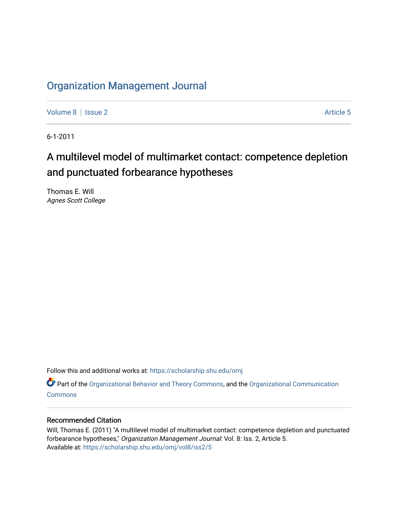# [Organization Management Journal](https://scholarship.shu.edu/omj)

[Volume 8](https://scholarship.shu.edu/omj/vol8) | [Issue 2](https://scholarship.shu.edu/omj/vol8/iss2) Article 5

6-1-2011

# A multilevel model of multimarket contact: competence depletion and punctuated forbearance hypotheses

Thomas E. Will Agnes Scott College

Follow this and additional works at: [https://scholarship.shu.edu/omj](https://scholarship.shu.edu/omj?utm_source=scholarship.shu.edu%2Fomj%2Fvol8%2Fiss2%2F5&utm_medium=PDF&utm_campaign=PDFCoverPages) 

Part of the [Organizational Behavior and Theory Commons,](http://network.bepress.com/hgg/discipline/639?utm_source=scholarship.shu.edu%2Fomj%2Fvol8%2Fiss2%2F5&utm_medium=PDF&utm_campaign=PDFCoverPages) and the [Organizational Communication](http://network.bepress.com/hgg/discipline/335?utm_source=scholarship.shu.edu%2Fomj%2Fvol8%2Fiss2%2F5&utm_medium=PDF&utm_campaign=PDFCoverPages) **[Commons](http://network.bepress.com/hgg/discipline/335?utm_source=scholarship.shu.edu%2Fomj%2Fvol8%2Fiss2%2F5&utm_medium=PDF&utm_campaign=PDFCoverPages)** 

# Recommended Citation

Will, Thomas E. (2011) "A multilevel model of multimarket contact: competence depletion and punctuated forbearance hypotheses," Organization Management Journal: Vol. 8: Iss. 2, Article 5. Available at: [https://scholarship.shu.edu/omj/vol8/iss2/5](https://scholarship.shu.edu/omj/vol8/iss2/5?utm_source=scholarship.shu.edu%2Fomj%2Fvol8%2Fiss2%2F5&utm_medium=PDF&utm_campaign=PDFCoverPages)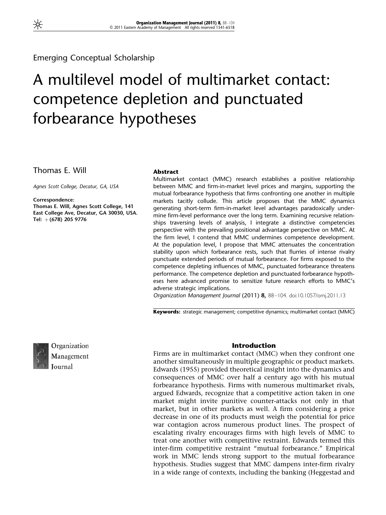Emerging Conceptual Scholarship

# A multilevel model of multimarket contact: competence depletion and punctuated forbearance hypotheses

Thomas E. Will

Agnes Scott College, Decatur, GA, USA

Correspondence:

Thomas E. Will, Agnes Scott College, 141 East College Ave, Decatur, GA 30030, USA. Tel: +(678) 205 9776

# Abstract

Multimarket contact (MMC) research establishes a positive relationship between MMC and firm-in-market level prices and margins, supporting the mutual forbearance hypothesis that firms confronting one another in multiple markets tacitly collude. This article proposes that the MMC dynamics generating short-term firm-in-market level advantages paradoxically undermine firm-level performance over the long term. Examining recursive relationships traversing levels of analysis, I integrate a distinctive competencies perspective with the prevailing positional advantage perspective on MMC. At the firm level, I contend that MMC undermines competence development. At the population level, I propose that MMC attenuates the concentration stability upon which forbearance rests, such that flurries of intense rivalry punctuate extended periods of mutual forbearance. For firms exposed to the competence depleting influences of MMC, punctuated forbearance threatens performance. The competence depletion and punctuated forbearance hypotheses here advanced promise to sensitize future research efforts to MMC's adverse strategic implications.

Organization Management Journal (2011) 8, 88–104. doi:10.1057/omj.2011.13

Keywords: strategic management; competitive dynamics; multimarket contact (MMC)



Organization Management Journal

# Introduction

Firms are in multimarket contact (MMC) when they confront one another simultaneously in multiple geographic or product markets. Edwards (1955) provided theoretical insight into the dynamics and consequences of MMC over half a century ago with his mutual forbearance hypothesis. Firms with numerous multimarket rivals, argued Edwards, recognize that a competitive action taken in one market might invite punitive counter-attacks not only in that market, but in other markets as well. A firm considering a price decrease in one of its products must weigh the potential for price war contagion across numerous product lines. The prospect of escalating rivalry encourages firms with high levels of MMC to treat one another with competitive restraint. Edwards termed this inter-firm competitive restraint "mutual forbearance." Empirical work in MMC lends strong support to the mutual forbearance hypothesis. Studies suggest that MMC dampens inter-firm rivalry in a wide range of contexts, including the banking (Heggestad and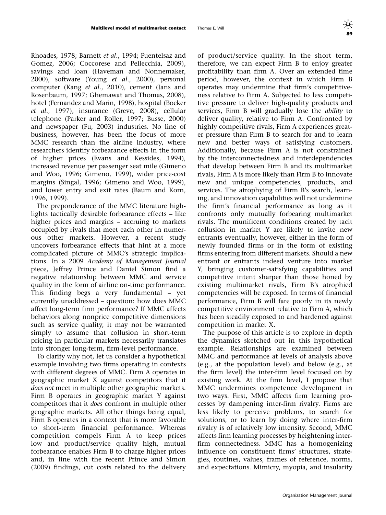Rhoades, 1978; Barnett et al., 1994; Fuentelsaz and Gomez, 2006; Coccorese and Pellecchia, 2009), savings and loan (Haveman and Nonnemaker, 2000), software (Young et al., 2000), personal computer (Kang et al., 2010), cement (Jans and Rosenbaum, 1997; Ghemawat and Thomas, 2008), hotel (Fernandez and Marin, 1998), hospital (Boeker et al., 1997), insurance (Greve, 2008), cellular telephone (Parker and Roller, 1997; Busse, 2000) and newspaper (Fu, 2003) industries. No line of business, however, has been the focus of more MMC research than the airline industry, where researchers identify forbearance effects in the form of higher prices (Evans and Kessides, 1994), increased revenue per passenger seat mile (Gimeno and Woo, 1996; Gimeno, 1999), wider price-cost margins (Singal, 1996; Gimeno and Woo, 1999), and lower entry and exit rates (Baum and Korn, 1996, 1999).

The preponderance of the MMC literature highlights tactically desirable forbearance effects – like higher prices and margins – accruing to markets occupied by rivals that meet each other in numerous other markets. However, a recent study uncovers forbearance effects that hint at a more complicated picture of MMC's strategic implications. In a 2009 Academy of Management Journal piece, Jeffrey Prince and Daniel Simon find a negative relationship between MMC and service quality in the form of airline on-time performance. This finding begs a very fundamental – yet currently unaddressed – question: how does MMC affect long-term firm performance? If MMC affects behaviors along nonprice competitive dimensions such as service quality, it may not be warranted simply to assume that collusion in short-term pricing in particular markets necessarily translates into stronger long-term, firm-level performance.

To clarify why not, let us consider a hypothetical example involving two firms operating in contexts with different degrees of MMC. Firm A operates in geographic market X against competitors that it does not meet in multiple other geographic markets. Firm B operates in geographic market Y against competitors that it does confront in multiple other geographic markets. All other things being equal, Firm B operates in a context that is more favorable to short-term financial performance. Whereas competition compels Firm A to keep prices low and product/service quality high, mutual forbearance enables Firm B to charge higher prices and, in line with the recent Prince and Simon (2009) findings, cut costs related to the delivery

of product/service quality. In the short term, therefore, we can expect Firm B to enjoy greater profitability than firm A. Over an extended time period, however, the context in which Firm B operates may undermine that firm's competitiveness relative to Firm A. Subjected to less competitive pressure to deliver high-quality products and services, Firm B will gradually lose the ability to deliver quality, relative to Firm A. Confronted by highly competitive rivals, Firm A experiences greater pressure than Firm B to search for and to learn new and better ways of satisfying customers. Additionally, because Firm A is not constrained by the interconnectedness and interdependencies that develop between Firm B and its multimarket rivals, Firm A is more likely than Firm B to innovate new and unique competencies, products, and services. The atrophying of Firm B's search, learning, and innovation capabilities will not undermine the firm's financial performance as long as it confronts only mutually forbearing multimarket rivals. The munificent conditions created by tacit collusion in market Y are likely to invite new entrants eventually, however, either in the form of newly founded firms or in the form of existing firms entering from different markets. Should a new entrant or entrants indeed venture into market Y, bringing customer-satisfying capabilities and competitive intent sharper than those honed by existing multimarket rivals, Firm B's atrophied competencies will be exposed. In terms of financial performance, Firm B will fare poorly in its newly competitive environment relative to Firm A, which has been steadily exposed to and hardened against competition in market X.

The purpose of this article is to explore in depth the dynamics sketched out in this hypothetical example. Relationships are examined between MMC and performance at levels of analysis above (e.g., at the population level) and below (e.g., at the firm level) the inter-firm level focused on by existing work. At the firm level, I propose that MMC undermines competence development in two ways. First, MMC affects firm learning processes by dampening inter-firm rivalry. Firms are less likely to perceive problems, to search for solutions, or to learn by doing where inter-firm rivalry is of relatively low intensity. Second, MMC affects firm learning processes by heightening interfirm connectedness. MMC has a homogenizing influence on constituent firms' structures, strategies, routines, values, frames of reference, norms, and expectations. Mimicry, myopia, and insularity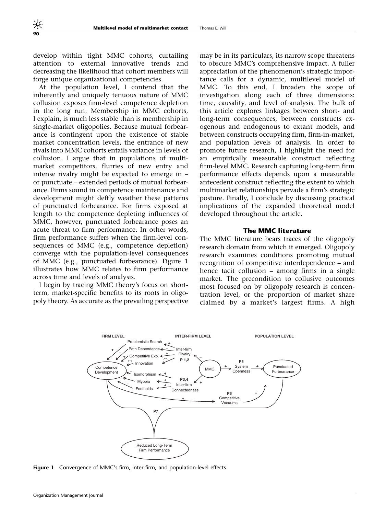develop within tight MMC cohorts, curtailing attention to external innovative trends and decreasing the likelihood that cohort members will forge unique organizational competencies.

At the population level, I contend that the inherently and uniquely tenuous nature of MMC collusion exposes firm-level competence depletion in the long run. Membership in MMC cohorts, I explain, is much less stable than is membership in single-market oligopolies. Because mutual forbearance is contingent upon the existence of stable market concentration levels, the entrance of new rivals into MMC cohorts entails variance in levels of collusion. I argue that in populations of multimarket competitors, flurries of new entry and intense rivalry might be expected to emerge in – or punctuate – extended periods of mutual forbearance. Firms sound in competence maintenance and development might deftly weather these patterns of punctuated forbearance. For firms exposed at length to the competence depleting influences of MMC, however, punctuated forbearance poses an acute threat to firm performance. In other words, firm performance suffers when the firm-level consequences of MMC (e.g., competence depletion) converge with the population-level consequences of MMC (e.g., punctuated forbearance). Figure 1 illustrates how MMC relates to firm performance across time and levels of analysis.

I begin by tracing MMC theory's focus on shortterm, market-specific benefits to its roots in oligopoly theory. As accurate as the prevailing perspective may be in its particulars, its narrow scope threatens to obscure MMC's comprehensive impact. A fuller appreciation of the phenomenon's strategic importance calls for a dynamic, multilevel model of MMC. To this end, I broaden the scope of investigation along each of three dimensions: time, causality, and level of analysis. The bulk of this article explores linkages between short- and long-term consequences, between constructs exogenous and endogenous to extant models, and between constructs occupying firm, firm-in-market, and population levels of analysis. In order to promote future research, I highlight the need for an empirically measurable construct reflecting firm-level MMC. Research capturing long-term firm performance effects depends upon a measurable antecedent construct reflecting the extent to which multimarket relationships pervade a firm's strategic posture. Finally, I conclude by discussing practical implications of the expanded theoretical model developed throughout the article.

#### The MMC literature

The MMC literature bears traces of the oligopoly research domain from which it emerged. Oligopoly research examines conditions promoting mutual recognition of competitive interdependence – and hence tacit collusion – among firms in a single market. The precondition to collusive outcomes most focused on by oligopoly research is concentration level, or the proportion of market share claimed by a market's largest firms. A high



Figure 1 Convergence of MMC's firm, inter-firm, and population-level effects.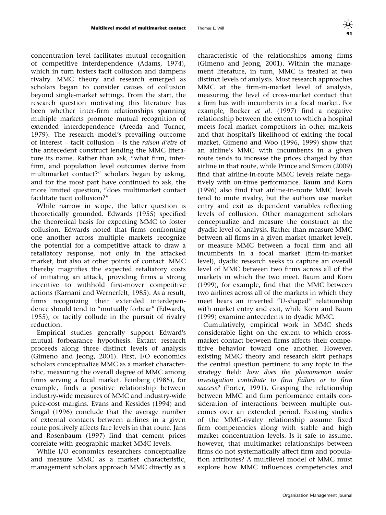concentration level facilitates mutual recognition of competitive interdependence (Adams, 1974), which in turn fosters tacit collusion and dampens rivalry. MMC theory and research emerged as scholars began to consider causes of collusion beyond single-market settings. From the start, the research question motivating this literature has been whether inter-firm relationships spanning multiple markets promote mutual recognition of extended interdependence (Areeda and Turner, 1979). The research model's prevailing outcome of interest – tacit collusion – is the raison d'etre of the antecedent construct lending the MMC literature its name. Rather than ask, "what firm, interfirm, and population level outcomes derive from multimarket contact?" scholars began by asking, and for the most part have continued to ask, the more limited question, "does multimarket contact facilitate tacit collusion?"

While narrow in scope, the latter question is theoretically grounded. Edwards (1955) specified the theoretical basis for expecting MMC to foster collusion. Edwards noted that firms confronting one another across multiple markets recognize the potential for a competitive attack to draw a retaliatory response, not only in the attacked market, but also at other points of contact. MMC thereby magnifies the expected retaliatory costs of initiating an attack, providing firms a strong incentive to withhold first-mover competitive actions (Karnani and Wernerfelt, 1985). As a result, firms recognizing their extended interdependence should tend to "mutually forbear" (Edwards, 1955), or tacitly collude in the pursuit of rivalry reduction.

Empirical studies generally support Edward's mutual forbearance hypothesis. Extant research proceeds along three distinct levels of analysis (Gimeno and Jeong, 2001). First, I/O economics scholars conceptualize MMC as a market characteristic, measuring the overall degree of MMC among firms serving a focal market. Feinberg (1985), for example, finds a positive relationship between industry-wide measures of MMC and industry-wide price-cost margins. Evans and Kessides (1994) and Singal (1996) conclude that the average number of external contacts between airlines in a given route positively affects fare levels in that route. Jans and Rosenbaum (1997) find that cement prices correlate with geographic market MMC levels.

While I/O economics researchers conceptualize and measure MMC as a market characteristic, management scholars approach MMC directly as a characteristic of the relationships among firms (Gimeno and Jeong, 2001). Within the management literature, in turn, MMC is treated at two distinct levels of analysis. Most research approaches MMC at the firm-in-market level of analysis, measuring the level of cross-market contact that a firm has with incumbents in a focal market. For example, Boeker et al. (1997) find a negative relationship between the extent to which a hospital meets focal market competitors in other markets and that hospital's likelihood of exiting the focal market. Gimeno and Woo (1996, 1999) show that an airline's MMC with incumbents in a given route tends to increase the prices charged by that airline in that route, while Prince and Simon (2009) find that airline-in-route MMC levels relate negatively with on-time performance. Baum and Korn (1996) also find that airline-in-route MMC levels tend to mute rivalry, but the authors use market entry and exit as dependent variables reflecting levels of collusion. Other management scholars conceptualize and measure the construct at the dyadic level of analysis. Rather than measure MMC between all firms in a given market (market level), or measure MMC between a focal firm and all incumbents in a focal market (firm-in-market level), dyadic research seeks to capture an overall level of MMC between two firms across all of the markets in which the two meet. Baum and Korn (1999), for example, find that the MMC between two airlines across all of the markets in which they meet bears an inverted "U-shaped" relationship with market entry and exit, while Korn and Baum (1999) examine antecedents to dyadic MMC.

Cumulatively, empirical work in MMC sheds considerable light on the extent to which crossmarket contact between firms affects their competitive behavior toward one another. However, existing MMC theory and research skirt perhaps the central question pertinent to any topic in the strategy field: how does the phenomenon under investigation contribute to firm failure or to firm success? (Porter, 1991). Grasping the relationship between MMC and firm performance entails consideration of interactions between multiple outcomes over an extended period. Existing studies of the MMC-rivalry relationship assume fixed firm competencies along with stable and high market concentration levels. Is it safe to assume, however, that multimarket relationships between firms do not systematically affect firm and population attributes? A multilevel model of MMC must explore how MMC influences competencies and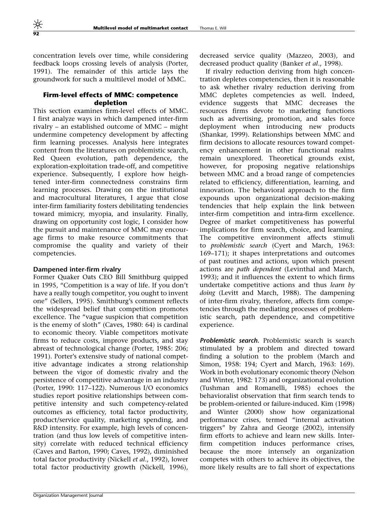concentration levels over time, while considering feedback loops crossing levels of analysis (Porter, 1991). The remainder of this article lays the groundwork for such a multilevel model of MMC.

# Firm-level effects of MMC: competence depletion

This section examines firm-level effects of MMC. I first analyze ways in which dampened inter-firm rivalry – an established outcome of MMC – might undermine competency development by affecting firm learning processes. Analysis here integrates content from the literatures on problemistic search, Red Queen evolution, path dependence, the exploration-exploitation trade-off, and competitive experience. Subsequently, I explore how heightened inter-firm connectedness constrains firm learning processes. Drawing on the institutional and macrocultural literatures, I argue that close inter-firm familiarity fosters debilitating tendencies toward mimicry, myopia, and insularity. Finally, drawing on opportunity cost logic, I consider how the pursuit and maintenance of MMC may encourage firms to make resource commitments that compromise the quality and variety of their competencies.

# Dampened inter-firm rivalry

Former Quaker Oats CEO Bill Smithburg quipped in 1995, "Competition is a way of life. If you don't have a really tough competitor, you ought to invent one" (Sellers, 1995). Smithburg's comment reflects the widespread belief that competition promotes excellence. The "vague suspicion that competition is the enemy of sloth" (Caves, 1980: 64) is cardinal to economic theory. Viable competitors motivate firms to reduce costs, improve products, and stay abreast of technological change (Porter, 1985: 206; 1991). Porter's extensive study of national competitive advantage indicates a strong relationship between the vigor of domestic rivalry and the persistence of competitive advantage in an industry (Porter, 1990: 117–122). Numerous I/O economics studies report positive relationships between competitive intensity and such competency-related outcomes as efficiency, total factor productivity, product/service quality, marketing spending, and R&D intensity. For example, high levels of concentration (and thus low levels of competitive intensity) correlate with reduced technical efficiency (Caves and Barton, 1990; Caves, 1992), diminished total factor productivity (Nickell et al., 1992), lower total factor productivity growth (Nickell, 1996), decreased service quality (Mazzeo, 2003), and decreased product quality (Banker et al., 1998).

If rivalry reduction deriving from high concentration depletes competencies, then it is reasonable to ask whether rivalry reduction deriving from MMC depletes competencies as well. Indeed, evidence suggests that MMC decreases the resources firms devote to marketing functions such as advertising, promotion, and sales force deployment when introducing new products (Shankar, 1999). Relationships between MMC and firm decisions to allocate resources toward competency enhancement in other functional realms remain unexplored. Theoretical grounds exist, however, for proposing negative relationships between MMC and a broad range of competencies related to efficiency, differentiation, learning, and innovation. The behavioral approach to the firm expounds upon organizational decision-making tendencies that help explain the link between inter-firm competition and intra-firm excellence. Degree of market competitiveness has powerful implications for firm search, choice, and learning. The competitive environment affects stimuli to problemistic search (Cyert and March, 1963: 169–171); it shapes interpretations and outcomes of past routines and actions, upon which present actions are path dependent (Levinthal and March, 1993); and it influences the extent to which firms undertake competitive actions and thus learn by doing (Levitt and March, 1988). The dampening of inter-firm rivalry, therefore, affects firm competencies through the mediating processes of problemistic search, path dependence, and competitive experience.

**Problemistic search.** Problemistic search is search stimulated by a problem and directed toward finding a solution to the problem (March and Simon, 1958: 194; Cyert and March, 1963: 169). Work in both evolutionary economic theory (Nelson and Winter, 1982: 173) and organizational evolution (Tushman and Romanelli, 1985) echoes the behavioralist observation that firm search tends to be problem-oriented or failure-induced. Kim (1998) and Winter (2000) show how organizational performance crises, termed "internal activation triggers" by Zahra and George (2002), intensify firm efforts to achieve and learn new skills. Interfirm competition induces performance crises, because the more intensely an organization competes with others to achieve its objectives, the more likely results are to fall short of expectations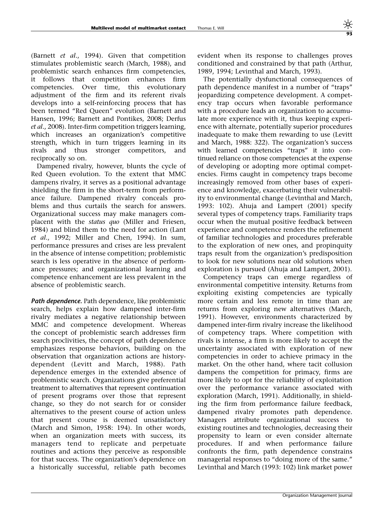(Barnett et al., 1994). Given that competition stimulates problemistic search (March, 1988), and problemistic search enhances firm competencies, it follows that competition enhances firm competencies. Over time, this evolutionary adjustment of the firm and its referent rivals develops into a self-reinforcing process that has been termed "Red Queen" evolution (Barnett and Hansen, 1996; Barnett and Pontikes, 2008; Derfus et al., 2008). Inter-firm competition triggers learning, which increases an organization's competitive strength, which in turn triggers learning in its rivals and thus stronger competitors, and reciprocally so on.

Dampened rivalry, however, blunts the cycle of Red Queen evolution. To the extent that MMC dampens rivalry, it serves as a positional advantage shielding the firm in the short-term from performance failure. Dampened rivalry conceals problems and thus curtails the search for answers. Organizational success may make managers complacent with the *status quo* (Miller and Friesen, 1984) and blind them to the need for action (Lant et al., 1992; Miller and Chen, 1994). In sum, performance pressures and crises are less prevalent in the absence of intense competition; problemistic search is less operative in the absence of performance pressures; and organizational learning and competence enhancement are less prevalent in the absence of problemistic search.

Path dependence. Path dependence, like problemistic search, helps explain how dampened inter-firm rivalry mediates a negative relationship between MMC and competence development. Whereas the concept of problemistic search addresses firm search proclivities, the concept of path dependence emphasizes response behaviors, building on the observation that organization actions are historydependent (Levitt and March, 1988). Path dependence emerges in the extended absence of problemistic search. Organizations give preferential treatment to alternatives that represent continuation of present programs over those that represent change, so they do not search for or consider alternatives to the present course of action unless that present course is deemed unsatisfactory (March and Simon, 1958: 194). In other words, when an organization meets with success, its managers tend to replicate and perpetuate routines and actions they perceive as responsible for that success. The organization's dependence on a historically successful, reliable path becomes evident when its response to challenges proves conditioned and constrained by that path (Arthur, 1989, 1994; Levinthal and March, 1993).

The potentially dysfunctional consequences of path dependence manifest in a number of "traps" jeopardizing competence development. A competency trap occurs when favorable performance with a procedure leads an organization to accumulate more experience with it, thus keeping experience with alternate, potentially superior procedures inadequate to make them rewarding to use (Levitt and March, 1988: 322). The organization's success with learned competencies "traps" it into continued reliance on those competencies at the expense of developing or adopting more optimal competencies. Firms caught in competency traps become increasingly removed from other bases of experience and knowledge, exacerbating their vulnerability to environmental change (Levinthal and March, 1993: 102). Ahuja and Lampert (2001) specify several types of competency traps. Familiarity traps occur when the mutual positive feedback between experience and competence renders the refinement of familiar technologies and procedures preferable to the exploration of new ones, and propinquity traps result from the organization's predisposition to look for new solutions near old solutions when exploration is pursued (Ahuja and Lampert, 2001).

Competency traps can emerge regardless of environmental competitive intensity. Returns from exploiting existing competencies are typically more certain and less remote in time than are returns from exploring new alternatives (March, 1991). However, environments characterized by dampened inter-firm rivalry increase the likelihood of competency traps. Where competition with rivals is intense, a firm is more likely to accept the uncertainty associated with exploration of new competencies in order to achieve primacy in the market. On the other hand, where tacit collusion dampens the competition for primacy, firms are more likely to opt for the reliability of exploitation over the performance variance associated with exploration (March, 1991). Additionally, in shielding the firm from performance failure feedback, dampened rivalry promotes path dependence. Managers attribute organizational success to existing routines and technologies, decreasing their propensity to learn or even consider alternate procedures. If and when performance failure confronts the firm, path dependence constrains managerial responses to "doing more of the same." Levinthal and March (1993: 102) link market power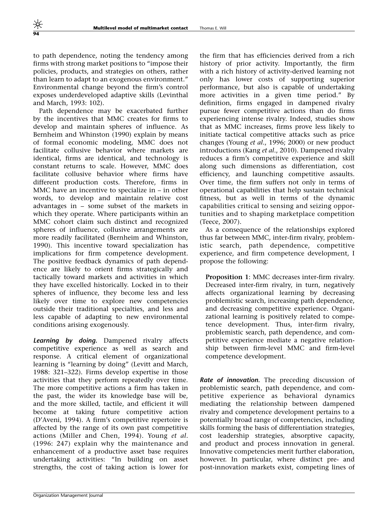to path dependence, noting the tendency among firms with strong market positions to "impose their policies, products, and strategies on others, rather than learn to adapt to an exogenous environment." Environmental change beyond the firm's control exposes underdeveloped adaptive skills (Levinthal and March, 1993: 102).

Path dependence may be exacerbated further by the incentives that MMC creates for firms to develop and maintain spheres of influence. As Bernheim and Whinston (1990) explain by means of formal economic modeling, MMC does not facilitate collusive behavior where markets are identical, firms are identical, and technology is constant returns to scale. However, MMC does facilitate collusive behavior where firms have different production costs. Therefore, firms in MMC have an incentive to specialize in – in other words, to develop and maintain relative cost advantages in – some subset of the markets in which they operate. Where participants within an MMC cohort claim such distinct and recognized spheres of influence, collusive arrangements are more readily facilitated (Bernheim and Whinston, 1990). This incentive toward specialization has implications for firm competence development. The positive feedback dynamics of path dependence are likely to orient firms strategically and tactically toward markets and activities in which they have excelled historically. Locked in to their spheres of influence, they become less and less likely over time to explore new competencies outside their traditional specialties, and less and less capable of adapting to new environmental conditions arising exogenously.

Learning by doing. Dampened rivalry affects competitive experience as well as search and response. A critical element of organizational learning is "learning by doing" (Levitt and March, 1988: 321–322). Firms develop expertise in those activities that they perform repeatedly over time. The more competitive actions a firm has taken in the past, the wider its knowledge base will be, and the more skilled, tactile, and efficient it will become at taking future competitive action (D'Aveni, 1994). A firm's competitive repertoire is affected by the range of its own past competitive actions (Miller and Chen, 1994). Young et al. (1996: 247) explain why the maintenance and enhancement of a productive asset base requires undertaking activities: "In building on asset strengths, the cost of taking action is lower for the firm that has efficiencies derived from a rich history of prior activity. Importantly, the firm with a rich history of activity-derived learning not only has lower costs of supporting superior performance, but also is capable of undertaking more activities in a given time period." By definition, firms engaged in dampened rivalry pursue fewer competitive actions than do firms experiencing intense rivalry. Indeed, studies show that as MMC increases, firms prove less likely to initiate tactical competitive attacks such as price changes (Young et al., 1996; 2000) or new product introductions (Kang et al., 2010). Dampened rivalry reduces a firm's competitive experience and skill along such dimensions as differentiation, cost efficiency, and launching competitive assaults. Over time, the firm suffers not only in terms of operational capabilities that help sustain technical fitness, but as well in terms of the dynamic capabilities critical to sensing and seizing opportunities and to shaping marketplace competition (Teece, 2007).

As a consequence of the relationships explored thus far between MMC, inter-firm rivalry, problemistic search, path dependence, competitive experience, and firm competence development, I propose the following:

Proposition 1: MMC decreases inter-firm rivalry. Decreased inter-firm rivalry, in turn, negatively affects organizational learning by decreasing problemistic search, increasing path dependence, and decreasing competitive experience. Organizational learning is positively related to competence development. Thus, inter-firm rivalry, problemistic search, path dependence, and competitive experience mediate a negative relationship between firm-level MMC and firm-level competence development.

Rate of innovation. The preceding discussion of problemistic search, path dependence, and competitive experience as behavioral dynamics mediating the relationship between dampened rivalry and competence development pertains to a potentially broad range of competencies, including skills forming the basis of differentiation strategies, cost leadership strategies, absorptive capacity, and product and process innovation in general. Innovative competencies merit further elaboration, however. In particular, where distinct pre- and post-innovation markets exist, competing lines of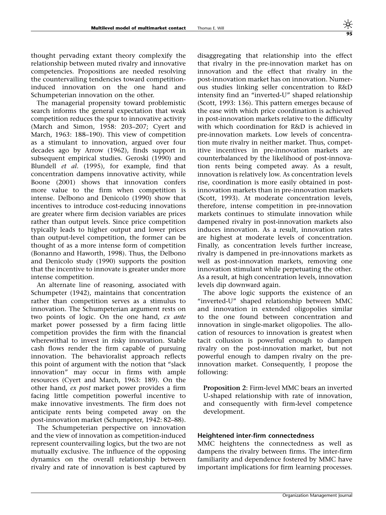thought pervading extant theory complexify the relationship between muted rivalry and innovative competencies. Propositions are needed resolving the countervailing tendencies toward competitioninduced innovation on the one hand and Schumpeterian innovation on the other.

The managerial propensity toward problemistic search informs the general expectation that weak competition reduces the spur to innovative activity (March and Simon, 1958: 203–207; Cyert and March, 1963: 188–190). This view of competition as a stimulant to innovation, argued over four decades ago by Arrow (1962), finds support in subsequent empirical studies. Geroski (1990) and Blundell et al. (1995), for example, find that concentration dampens innovative activity, while Boone (2001) shows that innovation confers more value to the firm when competition is intense. Delbono and Denicolo (1990) show that incentives to introduce cost-reducing innovations are greater where firm decision variables are prices rather than output levels. Since price competition typically leads to higher output and lower prices than output-level competition, the former can be thought of as a more intense form of competition (Bonanno and Haworth, 1998). Thus, the Delbono and Denicolo study (1990) supports the position that the incentive to innovate is greater under more intense competition.

An alternate line of reasoning, associated with Schumpeter (1942), maintains that concentration rather than competition serves as a stimulus to innovation. The Schumpeterian argument rests on two points of logic. On the one hand, ex ante market power possessed by a firm facing little competition provides the firm with the financial wherewithal to invest in risky innovation. Stable cash flows render the firm capable of pursuing innovation. The behavioralist approach reflects this point of argument with the notion that "slack innovation" may occur in firms with ample resources (Cyert and March, 1963: 189). On the other hand, ex post market power provides a firm facing little competition powerful incentive to make innovative investments. The firm does not anticipate rents being competed away on the post-innovation market (Schumpeter, 1942: 82–88).

The Schumpeterian perspective on innovation and the view of innovation as competition-induced represent countervailing logics, but the two are not mutually exclusive. The influence of the opposing dynamics on the overall relationship between rivalry and rate of innovation is best captured by

disaggregating that relationship into the effect that rivalry in the pre-innovation market has on innovation and the effect that rivalry in the post-innovation market has on innovation. Numerous studies linking seller concentration to R&D intensity find an "inverted-U" shaped relationship (Scott, 1993: 136). This pattern emerges because of the ease with which price coordination is achieved in post-innovation markets relative to the difficulty with which coordination for R&D is achieved in pre-innovation markets. Low levels of concentration mute rivalry in neither market. Thus, competitive incentives in pre-innovation markets are counterbalanced by the likelihood of post-innovation rents being competed away. As a result, innovation is relatively low. As concentration levels rise, coordination is more easily obtained in postinnovation markets than in pre-innovation markets (Scott, 1993). At moderate concentration levels, therefore, intense competition in pre-innovation markets continues to stimulate innovation while dampened rivalry in post-innovation markets also induces innovation. As a result, innovation rates are highest at moderate levels of concentration. Finally, as concentration levels further increase, rivalry is dampened in pre-innovations markets as well as post-innovation markets, removing one innovation stimulant while perpetuating the other. As a result, at high concentration levels, innovation levels dip downward again.

The above logic supports the existence of an "inverted-U" shaped relationship between MMC and innovation in extended oligopolies similar to the one found between concentration and innovation in single-market oligopolies. The allocation of resources to innovation is greatest when tacit collusion is powerful enough to dampen rivalry on the post-innovation market, but not powerful enough to dampen rivalry on the preinnovation market. Consequently, I propose the following:

Proposition 2: Firm-level MMC bears an inverted U-shaped relationship with rate of innovation, and consequently with firm-level competence development.

# Heightened inter-firm connectedness

MMC heightens the connectedness as well as dampens the rivalry between firms. The inter-firm familiarity and dependence fostered by MMC have important implications for firm learning processes.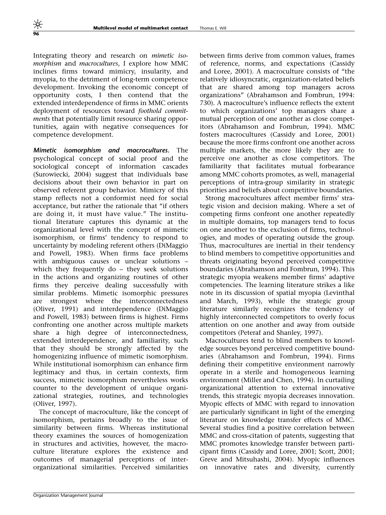Integrating theory and research on mimetic isomorphism and macrocultures, I explore how MMC inclines firms toward mimicry, insularity, and myopia, to the detriment of long-term competence development. Invoking the economic concept of opportunity costs, I then contend that the extended interdependence of firms in MMC orients deployment of resources toward foothold commitments that potentially limit resource sharing opportunities, again with negative consequences for competence development.

Mimetic isomorphism and macrocultures. The psychological concept of social proof and the sociological concept of information cascades (Surowiecki, 2004) suggest that individuals base decisions about their own behavior in part on observed referent group behavior. Mimicry of this stamp reflects not a conformist need for social acceptance, but rather the rationale that "if others are doing it, it must have value." The institutional literature captures this dynamic at the organizational level with the concept of mimetic isomorphism, or firms' tendency to respond to uncertainty by modeling referent others (DiMaggio and Powell, 1983). When firms face problems with ambiguous causes or unclear solutions – which they frequently do – they seek solutions in the actions and organizing routines of other firms they perceive dealing successfully with similar problems. Mimetic isomorphic pressures are strongest where the interconnectedness (Oliver, 1991) and interdependence (DiMaggio and Powell, 1983) between firms is highest. Firms confronting one another across multiple markets share a high degree of interconnectedness, extended interdependence, and familiarity, such that they should be strongly affected by the homogenizing influence of mimetic isomorphism. While institutional isomorphism can enhance firm legitimacy and thus, in certain contexts, firm success, mimetic isomorphism nevertheless works counter to the development of unique organizational strategies, routines, and technologies (Oliver, 1997).

The concept of macroculture, like the concept of isomorphism, pertains broadly to the issue of similarity between firms. Whereas institutional theory examines the sources of homogenization in structures and activities, however, the macroculture literature explores the existence and outcomes of managerial perceptions of interorganizational similarities. Perceived similarities

between firms derive from common values, frames of reference, norms, and expectations (Cassidy and Loree, 2001). A macroculture consists of "the relatively idiosyncratic, organization-related beliefs that are shared among top managers across organizations" (Abrahamson and Fombrun, 1994: 730). A macroculture's influence reflects the extent to which organizations' top managers share a mutual perception of one another as close competitors (Abrahamson and Fombrun, 1994). MMC fosters macrocultures (Cassidy and Loree, 2001) because the more firms confront one another across multiple markets, the more likely they are to perceive one another as close competitors. The familiarity that facilitates mutual forbearance among MMC cohorts promotes, as well, managerial perceptions of intra-group similarity in strategic priorities and beliefs about competitive boundaries.

Strong macrocultures affect member firms' strategic vision and decision making. Where a set of competing firms confront one another repeatedly in multiple domains, top managers tend to focus on one another to the exclusion of firms, technologies, and modes of operating outside the group. Thus, macrocultures are inertial in their tendency to blind members to competitive opportunities and threats originating beyond perceived competitive boundaries (Abrahamson and Fombrun, 1994). This strategic myopia weakens member firms' adaptive competencies. The learning literature strikes a like note in its discussion of spatial myopia (Levinthal and March, 1993), while the strategic group literature similarly recognizes the tendency of highly interconnected competitors to overly focus attention on one another and away from outside competitors (Peteraf and Shanley, 1997).

Macrocultures tend to blind members to knowledge sources beyond perceived competitive boundaries (Abrahamson and Fombrun, 1994). Firms defining their competitive environment narrowly operate in a sterile and homogeneous learning environment (Miller and Chen, 1994). In curtailing organizational attention to external innovative trends, this strategic myopia decreases innovation. Myopic effects of MMC with regard to innovation are particularly significant in light of the emerging literature on knowledge transfer effects of MMC. Several studies find a positive correlation between MMC and cross-citation of patents, suggesting that MMC promotes knowledge transfer between participant firms (Cassidy and Loree, 2001; Scott, 2001; Greve and Mitsuhashi, 2004). Myopic influences on innovative rates and diversity, currently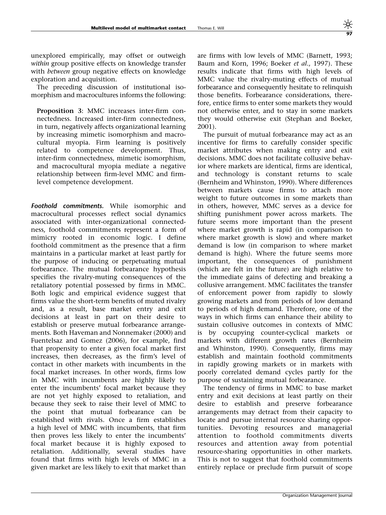unexplored empirically, may offset or outweigh within group positive effects on knowledge transfer with between group negative effects on knowledge exploration and acquisition.

The preceding discussion of institutional isomorphism and macrocultures informs the following:

Proposition 3: MMC increases inter-firm connectedness. Increased inter-firm connectedness, in turn, negatively affects organizational learning by increasing mimetic isomorphism and macrocultural myopia. Firm learning is positively related to competence development. Thus, inter-firm connectedness, mimetic isomorphism, and macrocultural myopia mediate a negative relationship between firm-level MMC and firmlevel competence development.

Foothold commitments. While isomorphic and macrocultural processes reflect social dynamics associated with inter-organizational connectedness, foothold commitments represent a form of mimicry rooted in economic logic. I define foothold commitment as the presence that a firm maintains in a particular market at least partly for the purpose of inducing or perpetuating mutual forbearance. The mutual forbearance hypothesis specifies the rivalry-muting consequences of the retaliatory potential possessed by firms in MMC. Both logic and empirical evidence suggest that firms value the short-term benefits of muted rivalry and, as a result, base market entry and exit decisions at least in part on their desire to establish or preserve mutual forbearance arrangements. Both Haveman and Nonnemaker (2000) and Fuentelsaz and Gomez (2006), for example, find that propensity to enter a given focal market first increases, then decreases, as the firm's level of contact in other markets with incumbents in the focal market increases. In other words, firms low in MMC with incumbents are highly likely to enter the incumbents' focal market because they are not yet highly exposed to retaliation, and because they seek to raise their level of MMC to the point that mutual forbearance can be established with rivals. Once a firm establishes a high level of MMC with incumbents, that firm then proves less likely to enter the incumbents' focal market because it is highly exposed to retaliation. Additionally, several studies have found that firms with high levels of MMC in a given market are less likely to exit that market than

are firms with low levels of MMC (Barnett, 1993; Baum and Korn, 1996; Boeker et al., 1997). These results indicate that firms with high levels of MMC value the rivalry-muting effects of mutual forbearance and consequently hesitate to relinquish those benefits. Forbearance considerations, therefore, entice firms to enter some markets they would not otherwise enter, and to stay in some markets they would otherwise exit (Stephan and Boeker, 2001).

The pursuit of mutual forbearance may act as an incentive for firms to carefully consider specific market attributes when making entry and exit decisions. MMC does not facilitate collusive behavior where markets are identical, firms are identical, and technology is constant returns to scale (Bernheim and Whinston, 1990). Where differences between markets cause firms to attach more weight to future outcomes in some markets than in others, however, MMC serves as a device for shifting punishment power across markets. The future seems more important than the present where market growth is rapid (in comparison to where market growth is slow) and where market demand is low (in comparison to where market demand is high). Where the future seems more important, the consequences of punishment (which are felt in the future) are high relative to the immediate gains of defecting and breaking a collusive arrangement. MMC facilitates the transfer of enforcement power from rapidly to slowly growing markets and from periods of low demand to periods of high demand. Therefore, one of the ways in which firms can enhance their ability to sustain collusive outcomes in contexts of MMC is by occupying counter-cyclical markets or markets with different growth rates (Bernheim and Whinston, 1990). Consequently, firms may establish and maintain foothold commitments in rapidly growing markets or in markets with poorly correlated demand cycles partly for the purpose of sustaining mutual forbearance.

The tendency of firms in MMC to base market entry and exit decisions at least partly on their desire to establish and preserve forbearance arrangements may detract from their capacity to locate and pursue internal resource sharing opportunities. Devoting resources and managerial attention to foothold commitments diverts resources and attention away from potential resource-sharing opportunities in other markets. This is not to suggest that foothold commitments entirely replace or preclude firm pursuit of scope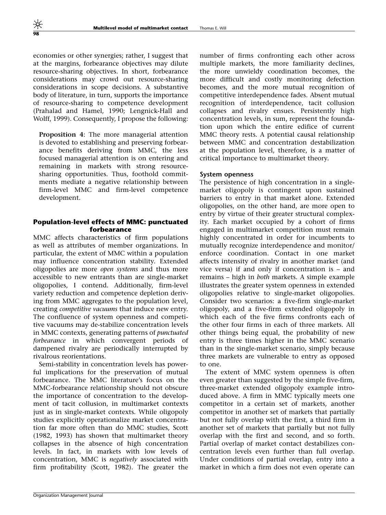economies or other synergies; rather, I suggest that at the margins, forbearance objectives may dilute resource-sharing objectives. In short, forbearance considerations may crowd out resource-sharing considerations in scope decisions. A substantive body of literature, in turn, supports the importance of resource-sharing to competence development (Prahalad and Hamel, 1990; Lengnick-Hall and Wolff, 1999). Consequently, I propose the following:

Proposition 4: The more managerial attention is devoted to establishing and preserving forbearance benefits deriving from MMC, the less focused managerial attention is on entering and remaining in markets with strong resourcesharing opportunities. Thus, foothold commitments mediate a negative relationship between firm-level MMC and firm-level competence development.

# Population-level effects of MMC: punctuated forbearance

MMC affects characteristics of firm populations as well as attributes of member organizations. In particular, the extent of MMC within a population may influence concentration stability. Extended oligopolies are more open systems and thus more accessible to new entrants than are single-market oligopolies, I contend. Additionally, firm-level variety reduction and competence depletion deriving from MMC aggregates to the population level, creating competitive vacuums that induce new entry. The confluence of system openness and competitive vacuums may de-stabilize concentration levels in MMC contexts, generating patterns of punctuated forbearance in which convergent periods of dampened rivalry are periodically interrupted by rivalrous reorientations.

Semi-stability in concentration levels has powerful implications for the preservation of mutual forbearance. The MMC literature's focus on the MMC-forbearance relationship should not obscure the importance of concentration to the development of tacit collusion, in multimarket contexts just as in single-market contexts. While oligopoly studies explicitly operationalize market concentration far more often than do MMC studies, Scott (1982, 1993) has shown that multimarket theory collapses in the absence of high concentration levels. In fact, in markets with low levels of concentration, MMC is negatively associated with firm profitability (Scott, 1982). The greater the number of firms confronting each other across multiple markets, the more familiarity declines, the more unwieldy coordination becomes, the more difficult and costly monitoring defection becomes, and the more mutual recognition of competitive interdependence fades. Absent mutual recognition of interdependence, tacit collusion collapses and rivalry ensues. Persistently high concentration levels, in sum, represent the foundation upon which the entire edifice of current MMC theory rests. A potential causal relationship between MMC and concentration destabilization at the population level, therefore, is a matter of critical importance to multimarket theory.

# System openness

The persistence of high concentration in a singlemarket oligopoly is contingent upon sustained barriers to entry in that market alone. Extended oligopolies, on the other hand, are more open to entry by virtue of their greater structural complexity. Each market occupied by a cohort of firms engaged in multimarket competition must remain highly concentrated in order for incumbents to mutually recognize interdependence and monitor/ enforce coordination. Contact in one market affects intensity of rivalry in another market (and vice versa) if and only if concentration is – and remains – high in both markets. A simple example illustrates the greater system openness in extended oligopolies relative to single-market oligopolies. Consider two scenarios: a five-firm single-market oligopoly, and a five-firm extended oligopoly in which each of the five firms confronts each of the other four firms in each of three markets. All other things being equal, the probability of new entry is three times higher in the MMC scenario than in the single-market scenario, simply because three markets are vulnerable to entry as opposed to one.

The extent of MMC system openness is often even greater than suggested by the simple five-firm, three-market extended oligopoly example introduced above. A firm in MMC typically meets one competitor in a certain set of markets, another competitor in another set of markets that partially but not fully overlap with the first, a third firm in another set of markets that partially but not fully overlap with the first and second, and so forth. Partial overlap of market contact destabilizes concentration levels even further than full overlap. Under conditions of partial overlap, entry into a market in which a firm does not even operate can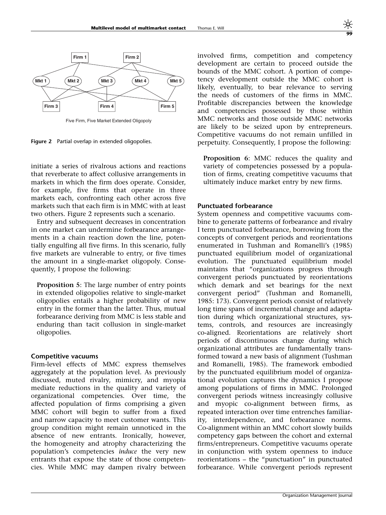

Five Firm, Five Market Extended Oligopoly

Figure 2 Partial overlap in extended oligopolies.

initiate a series of rivalrous actions and reactions that reverberate to affect collusive arrangements in markets in which the firm does operate. Consider, for example, five firms that operate in three markets each, confronting each other across five markets such that each firm is in MMC with at least two others. Figure 2 represents such a scenario.

Entry and subsequent decreases in concentration in one market can undermine forbearance arrangements in a chain reaction down the line, potentially engulfing all five firms. In this scenario, fully five markets are vulnerable to entry, or five times the amount in a single-market oligopoly. Consequently, I propose the following:

Proposition 5: The large number of entry points in extended oligopolies relative to single-market oligopolies entails a higher probability of new entry in the former than the latter. Thus, mutual forbearance deriving from MMC is less stable and enduring than tacit collusion in single-market oligopolies.

#### Competitive vacuums

Firm-level effects of MMC express themselves aggregately at the population level. As previously discussed, muted rivalry, mimicry, and myopia mediate reductions in the quality and variety of organizational competencies. Over time, the affected population of firms comprising a given MMC cohort will begin to suffer from a fixed and narrow capacity to meet customer wants. This group condition might remain unnoticed in the absence of new entrants. Ironically, however, the homogeneity and atrophy characterizing the population's competencies induce the very new entrants that expose the state of those competencies. While MMC may dampen rivalry between involved firms, competition and competency development are certain to proceed outside the bounds of the MMC cohort. A portion of competency development outside the MMC cohort is likely, eventually, to bear relevance to serving the needs of customers of the firms in MMC. Profitable discrepancies between the knowledge and competencies possessed by those within MMC networks and those outside MMC networks are likely to be seized upon by entrepreneurs. Competitive vacuums do not remain unfilled in perpetuity. Consequently, I propose the following:

Proposition 6: MMC reduces the quality and variety of competencies possessed by a population of firms, creating competitive vacuums that ultimately induce market entry by new firms.

#### Punctuated forbearance

System openness and competitive vacuums combine to generate patterns of forbearance and rivalry I term punctuated forbearance, borrowing from the concepts of convergent periods and reorientations enumerated in Tushman and Romanelli's (1985) punctuated equilibrium model of organizational evolution. The punctuated equilibrium model maintains that "organizations progress through convergent periods punctuated by reorientations which demark and set bearings for the next convergent period" (Tushman and Romanelli, 1985: 173). Convergent periods consist of relatively long time spans of incremental change and adaptation during which organizational structures, systems, controls, and resources are increasingly co-aligned. Reorientations are relatively short periods of discontinuous change during which organizational attributes are fundamentally transformed toward a new basis of alignment (Tushman and Romanelli, 1985). The framework embodied by the punctuated equilibrium model of organizational evolution captures the dynamics I propose among populations of firms in MMC. Prolonged convergent periods witness increasingly collusive and myopic co-alignment between firms, as repeated interaction over time entrenches familiarity, interdependence, and forbearance norms. Co-alignment within an MMC cohort slowly builds competency gaps between the cohort and external firms/entrepreneurs. Competitive vacuums operate in conjunction with system openness to induce reorientations – the "punctuation" in punctuated forbearance. While convergent periods represent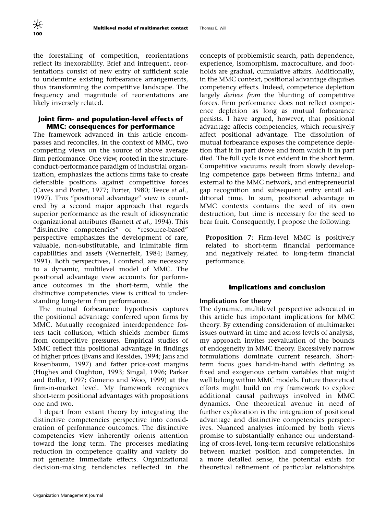the forestalling of competition, reorientations reflect its inexorability. Brief and infrequent, reorientations consist of new entry of sufficient scale to undermine existing forbearance arrangements, thus transforming the competitive landscape. The frequency and magnitude of reorientations are likely inversely related.

# Joint firm- and population-level effects of MMC: consequences for performance

The framework advanced in this article encompasses and reconciles, in the context of MMC, two competing views on the source of above average firm performance. One view, rooted in the structureconduct-performance paradigm of industrial organization, emphasizes the actions firms take to create defensible positions against competitive forces (Caves and Porter, 1977; Porter, 1980; Teece et al., 1997). This "positional advantage" view is countered by a second major approach that regards superior performance as the result of idiosyncratic organizational attributes (Barnett et al., 1994). This "distinctive competencies" or "resource-based" perspective emphasizes the development of rare, valuable, non-substitutable, and inimitable firm capabilities and assets (Wernerfelt, 1984; Barney, 1991). Both perspectives, I contend, are necessary to a dynamic, multilevel model of MMC. The positional advantage view accounts for performance outcomes in the short-term, while the distinctive competencies view is critical to understanding long-term firm performance.

The mutual forbearance hypothesis captures the positional advantage conferred upon firms by MMC. Mutually recognized interdependence fosters tacit collusion, which shields member firms from competitive pressures. Empirical studies of MMC reflect this positional advantage in findings of higher prices (Evans and Kessides, 1994; Jans and Rosenbaum, 1997) and fatter price-cost margins (Hughes and Oughton, 1993; Singal, 1996; Parker and Roller, 1997; Gimeno and Woo, 1999) at the firm-in-market level. My framework recognizes short-term positional advantages with propositions one and two.

I depart from extant theory by integrating the distinctive competencies perspective into consideration of performance outcomes. The distinctive competencies view inherently orients attention toward the long term. The processes mediating reduction in competence quality and variety do not generate immediate effects. Organizational decision-making tendencies reflected in the concepts of problemistic search, path dependence, experience, isomorphism, macroculture, and footholds are gradual, cumulative affairs. Additionally, in the MMC context, positional advantage disguises competency effects. Indeed, competence depletion largely derives from the blunting of competitive forces. Firm performance does not reflect competence depletion as long as mutual forbearance persists. I have argued, however, that positional advantage affects competencies, which recursively affect positional advantage. The dissolution of mutual forbearance exposes the competence depletion that it in part drove and from which it in part died. The full cycle is not evident in the short term. Competitive vacuums result from slowly developing competence gaps between firms internal and external to the MMC network, and entrepreneurial gap recognition and subsequent entry entail additional time. In sum, positional advantage in MMC contexts contains the seed of its own destruction, but time is necessary for the seed to bear fruit. Consequently, I propose the following:

Proposition 7: Firm-level MMC is positively related to short-term financial performance and negatively related to long-term financial performance.

# Implications and conclusion

# Implications for theory

The dynamic, multilevel perspective advocated in this article has important implications for MMC theory. By extending consideration of multimarket issues outward in time and across levels of analysis, my approach invites reevaluation of the bounds of endogeneity in MMC theory. Excessively narrow formulations dominate current research. Shortterm focus goes hand-in-hand with defining as fixed and exogenous certain variables that might well belong within MMC models. Future theoretical efforts might build on my framework to explore additional causal pathways involved in MMC dynamics. One theoretical avenue in need of further exploration is the integration of positional advantage and distinctive competencies perspectives. Nuanced analyses informed by both views promise to substantially enhance our understanding of cross-level, long-term recursive relationships between market position and competencies. In a more detailed sense, the potential exists for theoretical refinement of particular relationships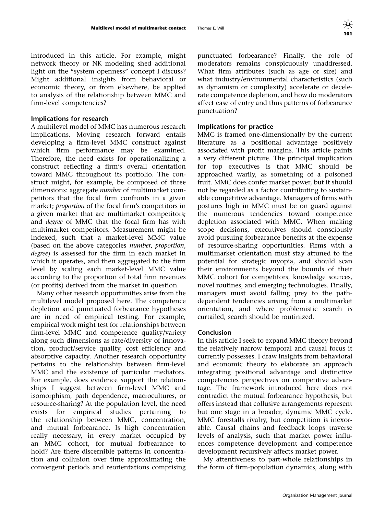introduced in this article. For example, might network theory or NK modeling shed additional light on the "system openness" concept I discuss? Might additional insights from behavioral or economic theory, or from elsewhere, be applied to analysis of the relationship between MMC and firm-level competencies?

# Implications for research

A multilevel model of MMC has numerous research implications. Moving research forward entails developing a firm-level MMC construct against which firm performance may be examined. Therefore, the need exists for operationalizing a construct reflecting a firm's overall orientation toward MMC throughout its portfolio. The construct might, for example, be composed of three dimensions: aggregate number of multimarket competitors that the focal firm confronts in a given market; proportion of the focal firm's competitors in a given market that are multimarket competitors; and degree of MMC that the focal firm has with multimarket competitors. Measurement might be indexed, such that a market-level MMC value (based on the above categories–number, proportion, degree) is assessed for the firm in each market in which it operates, and then aggregated to the firm level by scaling each market-level MMC value according to the proportion of total firm revenues (or profits) derived from the market in question.

Many other research opportunities arise from the multilevel model proposed here. The competence depletion and punctuated forbearance hypotheses are in need of empirical testing. For example, empirical work might test for relationships between firm-level MMC and competence quality/variety along such dimensions as rate/diversity of innovation, product/service quality, cost efficiency and absorptive capacity. Another research opportunity pertains to the relationship between firm-level MMC and the existence of particular mediators. For example, does evidence support the relationships I suggest between firm-level MMC and isomorphism, path dependence, macrocultures, or resource-sharing? At the population level, the need exists for empirical studies pertaining to the relationship between MMC, concentration, and mutual forbearance. Is high concentration really necessary, in every market occupied by an MMC cohort, for mutual forbearance to hold? Are there discernible patterns in concentration and collusion over time approximating the convergent periods and reorientations comprising punctuated forbearance? Finally, the role of moderators remains conspicuously unaddressed. What firm attributes (such as age or size) and what industry/environmental characteristics (such as dynamism or complexity) accelerate or decelerate competence depletion, and how do moderators affect ease of entry and thus patterns of forbearance punctuation?

# Implications for practice

MMC is framed one-dimensionally by the current literature as a positional advantage positively associated with profit margins. This article paints a very different picture. The principal implication for top executives is that MMC should be approached warily, as something of a poisoned fruit. MMC does confer market power, but it should not be regarded as a factor contributing to sustainable competitive advantage. Managers of firms with postures high in MMC must be on guard against the numerous tendencies toward competence depletion associated with MMC. When making scope decisions, executives should consciously avoid pursuing forbearance benefits at the expense of resource-sharing opportunities. Firms with a multimarket orientation must stay attuned to the potential for strategic myopia, and should scan their environments beyond the bounds of their MMC cohort for competitors, knowledge sources, novel routines, and emerging technologies. Finally, managers must avoid falling prey to the pathdependent tendencies arising from a multimarket orientation, and where problemistic search is curtailed, search should be routinized.

# Conclusion

In this article I seek to expand MMC theory beyond the relatively narrow temporal and causal focus it currently possesses. I draw insights from behavioral and economic theory to elaborate an approach integrating positional advantage and distinctive competencies perspectives on competitive advantage. The framework introduced here does not contradict the mutual forbearance hypothesis, but offers instead that collusive arrangements represent but one stage in a broader, dynamic MMC cycle. MMC forestalls rivalry, but competition is inexorable. Causal chains and feedback loops traverse levels of analysis, such that market power influences competence development and competence development recursively affects market power.

My attentiveness to part-whole relationships in the form of firm-population dynamics, along with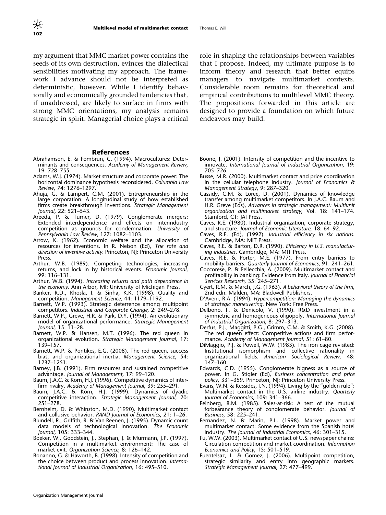my argument that MMC market power contains the seeds of its own destruction, evinces the dialectical sensibilities motivating my approach. The framework I advance should not be interpreted as deterministic, however. While I identify behaviorally and economically grounded tendencies that, if unaddressed, are likely to surface in firms with strong MMC orientations, my analysis remains strategic in spirit. Managerial choice plays a critical

#### References

- Abrahamson, E. & Fombrun, C. (1994). Macrocultures: Determinants and consequences. Academy of Management Review, 19: 728–755.
- Adams, W.J. (1974). Market structure and corporate power: The horizontal dominance hypothesis reconsidered. Columbia Law Review, 74: 1276–1297.
- Ahuja, G. & Lampert, C.M. (2001). Entrepreneurship in the large corporation: A longitudinal study of how established firms create breakthrough inventions. Strategic Management Journal, 22: 521–543.
- Areeda, P. & Turner, D. (1979). Conglomerate mergers: Extended interdependence and effects on interindustry competition as grounds for condemnation. University of Pennsylvania Law Review, 127: 1082–1103.
- Arrow, K. (1962). Economic welfare and the allocation of resources for inventions. In R. Nelson (Ed), The rate and direction of inventive activity. Princeton, NJ: Princeton University Press.
- Arthur, W.B. (1989). Competing technologies, increasing returns, and lock in by historical events. Economic Journal, 99: 116–131.
- Arthur, W.B. (1994). Increasing returns and path dependence in the economy. Ann Arbor, MI: University of Michigan Press.
- Banker, R.D., Khosla, I. & Sinha, K.K. (1998). Quality and competition. Management Science, 44: 1179–1192.
- Barnett, W.P. (1993). Strategic deterrence among multipoint competitors. Industrial and Corporate Change, 2: 249–278.
- Barnett, W.P., Greve, H.R. & Park, D.Y. (1994). An evolutionary model of organizational performance. Strategic Management Journal, 15: 11–28.
- Barnett, W.P. & Hansen, M.T. (1996). The red queen in organizational evolution. Strategic Management Journal, 17: 139–157.
- Barnett, W.P. & Pontikes, E.G. (2008). The red queen, success bias, and organizational inertia. Management Science, 54: 1237–1251.
- Barney, J.B. (1991). Firm resources and sustained competitive advantage. Journal of Management, 17: 99–120.
- Baum, J.A.C. & Korn, H.J. (1996). Competitive dynamics of interfirm rivalry. Academy of Management Journal, 39: 255–291.
- Baum, J.A.C. & Korn, H.J. (1999). Dynamics of dyadic competitive interaction. Strategic Management Journal, 20: 251–278.
- Bernheim, D. & Whinston, M.D. (1990). Multimarket contact and collusive behavior. RAND Journal of Economics, 21: 1–26.
- Blundell, R., Griffith, R. & Van Reenen, J. (1995). Dynamic count data models of technological innovation. The Economic Journal, 105: 333–344.
- Boeker, W., Goodstein, J., Stephan, J. & Murmann, J.P. (1997). Competition in a multimarket environment: The case of market exit. Organization Science, 8: 126–142.
- Bonanno, G. & Haworth, B. (1998). Intensity of competition and the choice between product and process innovation. International Journal of Industrial Organization, 16: 495–510.

role in shaping the relationships between variables that I propose. Indeed, my ultimate purpose is to inform theory and research that better equips managers to navigate multimarket contexts. Considerable room remains for theoretical and empirical contributions to multilevel MMC theory. The propositions forwarded in this article are designed to provide a foundation on which future endeavors may build.

- Boone, J. (2001). Intensity of competition and the incentive to innovate. International Journal of Industrial Organization, 19: 705–726.
- Busse, M.R. (2000). Multimarket contact and price coordination in the cellular telephone industry. Journal of Economics & Management Strategy, 9: 287–320.
- Cassidy, C.M. & Loree, D. (2001). Dynamics of knowledge transfer among multimarket competitors. In J.A.C. Baum and H.R. Greve (Eds), Advances in strategic management: Multiunit organization and multimarket strategy, Vol. 18: 141–174. Stamford, CT: JAI Press.
- Caves, R.E. (1980). Industrial organization, corporate strategy, and structure. Journal of Economic Literature, 18: 64–92.
- Caves, R.E. (Ed), (1992). Industrial efficiency in six nations. Cambridge, MA: MIT Press.
- Caves, R.E. & Barton, D.R. (1990). Efficiency in U.S. manufacturing industries. Cambridge, MA: MIT Press.
- Caves, R.E. & Porter, M.E. (1977). From entry barriers to mobility barriers. Quarterly Journal of Economics, 91: 241–261.
- Coccorese, P. & Pellecchia, A. (2009). Multimarket contact and profitability in banking: Evidence from Italy. Journal of Financial Services Research, 35: 245–271.
- Cyert, R.M. & March, J.G. (1963). A behavioral theory of the firm, 2nd edn. Malden, MA: Blackwell Publishers.
- D'Aveni, R.A. (1994). Hypercompetition: Managing the dynamics of strategic maneuvering. New York: Free Press.
- Delbono, F. & Denicolo, V. (1990). R&D investment in a symmetric and homogeneous oligopoly. International Journal of Industrial Organization, 8: 297–313.
- Derfus, P.J., Maggitti, P.G., Grimm, C.M. & Smith, K.G. (2008). The red queen effect: Competitive actions and firm performance. Academy of Management Journal, 51: 61–80.
- DiMaggio, P.J. & Powell, W.W. (1983). The iron cage revisited: Institutional isomorphism and collective rationality in organizational fields. American Sociological Review, 48: 147–160.
- Edwards, C.D. (1955). Conglomerate bigness as a source of power. In G. Stigler (Ed), Business concentration and price policy, 331–359. Princeton, NJ: Princeton University Press.
- Evans, W.N. & Kessides, I.N. (1994). Living by the "golden rule": Multimarket contact in the U.S. airline industry. Quarterly Journal of Economics, 109: 341–366.
- Feinberg, R.M. (1985). Sales-at-risk: A test of the mutual forbearance theory of conglomerate behavior. Journal of Business, 58: 225–241.
- Fernandez, N. & Marin, P.L. (1998). Market power and multimarket contact: Some evidence from the Spanish hotel industry. The Journal of Industrial Economics, 46: 301–315.
- Fu, W.W. (2003). Multimarket contact of U.S. newspaper chains: Circulation competition and market coordination. Information Economics and Policy, 15: 501–519.
- Fuentelsaz, L. & Gomez, J. (2006). Multipoint competition, strategic similarity and entry into geographic markets. Strategic Management Journal, 27: 477–499.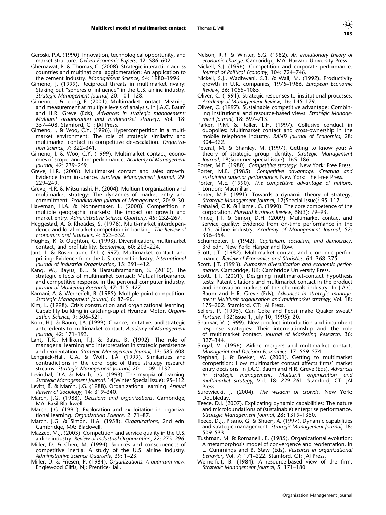- Geroski, P.A. (1990). Innovation, technological opportunity, and market structure. Oxford Economic Papers, 42: 586–602.
- Ghemawat, P. & Thomas, C. (2008). Strategic interaction across countries and multinational agglomeration: An application to the cement industry. Management Science, 54: 1980–1996.
- Gimeno, J. (1999). Reciprocal threats in multimarket rivalry: Staking out "spheres of influence" in the U.S. airline industry. Strategic Management Journal, 20: 101–128.
- Gimeno, J. & Jeong, E. (2001). Multimarket contact: Meaning and measurement at multiple levels of analysis. In J.A.C. Baum and H.R. Greve (Eds), Advances in strategic management: Multiunit organization and multimarket strategy, Vol. 18: 357–408. Stamford, CT: JAI Press.
- Gimeno, J. & Woo, C.Y. (1996). Hypercompetition in a multimarket environment: The role of strategic similarity and multimarket contact in competitive de-escalation. Organization Science, 7: 322–341.
- Gimeno, J. & Woo, C.Y. (1999). Multimarket contact, economies of scope, and firm performance. Academy of Management Journal, 42: 239–259.
- Greve, H.R. (2008). Multimarket contact and sales growth: Evidence from insurance. Strategic Management Journal, 29: 229–249.
- Greve, H.R. & Mitsuhashi, H. (2004). Multiunit organization and multimarket strategy: The dynamics of market entry and commitment. Scandinavian Journal of Management, 20: 9–30.
- Haveman, H.A. & Nonnemaker, L. (2000). Competition in multiple geographic markets: The impact on growth and market entry. Administrative Science Quarterly, 45: 232–267.
- Heggestad, A. & Rhoades, S. (1978). Multi-market interdependence and local market competition in banking. The Review of Economics and Statistics, 4: 523–532.
- Hughes, K. & Oughton, C. (1993). Diversification, multimarket contact, and profitability. Economica, 60: 203–224.
- Jans, I. & Rosenbaum, D.I. (1997). Multimarket contact and pricing: Evidence from the U.S. cement industry. International Journal of Industrial Organization, 15: 391–412.
- Kang, W., Bayus, B.L. & Barasubramanian, S. (2010). The strategic effects of multimarket contact: Mutual forbearance and competitive response in the personal computer industry. Journal of Marketing Research, 47: 415–427.
- Karnani, A. & Wernerfelt, B. (1985). Multiple point competition. Strategic Management Journal, 6: 87–96.
- Kim, L. (1998). Crisis construction and organizational learning: Capability building in catching-up at Hyundai Motor. Organization Science, 9: 506–521.
- Korn, H.J. & Baum, J.A. (1999). Chance, imitative, and strategic antecedents to multimarket contact. Academy of Management Journal, 42: 171–193.
- Lant, T.K., Milliken, F.J. & Batra, B. (1992). The role of managerial learning and interpretation in strategic persistence and reorientation. Strategic Management Journal, 13: 585–608.
- Lengnick-Hall, C.A. & Wolff, J.A. (1999). Similarities and contradictions in the core logic of three strategy research streams. Strategic Management Journal, 20: 1109-1132.
- Levinthal, D.A. & March, J.G. (1993). The myopia of learning. Strategic Management Journal, 14(Winter Special Issue): 95–112. Levitt, B. & March, J.G. (1988). Organizational learning. Annual
- Review of Sociology, 14: 319–340. March, J.G. (1988). Decisions and organizations. Cambridge, MA: Basil Blackwell.
- March, J.G. (1991). Exploration and exploitation in organizational learning. Organization Science, 2: 71–87.
- March, J.G. & Simon, H.A. (1958). Organizations, 2nd edn. Cambridge, MA: Blackwell.
- Mazzeo, M.J. (2003). Competition and service quality in the U.S. airline industry. Review of Industrial Organization, 22: 275–296.
- Miller, D. & Chen, M. (1994). Sources and consequences of competitive inertia: A study of the U.S. airline industry. Administrative Science Quarterly, 39: 1–23.
- Miller, D. & Friesen, P. (1984). Organizations: A quantum view. Englewood Cliffs, NJ: Prentice-Hall.

Nelson, R.R. & Winter, S.G. (1982). An evolutionary theory of economic change. Cambridge, MA: Harvard University Press.

- Nickell, S.J. (1996). Competition and corporate performance. Journal of Political Economy, 104: 724–746.
- Nickell, S.J., Wadhwani, S.B. & Wall, M. (1992). Productivity growth in U.K. companies, 1975–1986. European Economic Review, 36: 1055–1085.
- Oliver, C. (1991). Strategic responses to institutional processes. Academy of Management Review, 16: 145–179.
- Oliver, C. (1997). Sustainable competitive advantage: Combining institutional and resource-based views. Strategic Management Journal, 18: 697–713.
- Parker, P.M. & Roller, L.H. (1997). Collusive conduct in duopolies: Multimarket contact and cross-ownership in the mobile telephone industry. RAND Journal of Economics, 28: 304–322.
- Peteraf, M. & Shanley, M. (1997). Getting to know you: A theory of strategic group identity. Strategic Management Journal, 18(Summer special issue): 165–186.
- Porter, M.E. (1980). Competitive strategy. New York: Free Press. Porter, M.E. (1985). Competitive advantage: Creating and
- sustaining superior performance. New York: The Free Press.
- Porter, M.E. (1990). The competitive advantage of nations. London: Macmillan.
- Porter, M.E. (1991). Towards a dynamic theory of strategy. Strategic Management Journal, 12(Special Issue): 95–117.
- Prahalad, C.K. & Hamel, G. (1990). The core competence of the corporation. Harvard Business Review, 68(3): 79–93.
- Prince, J.T. & Simon, D.H. (2009). Multimarket contact and service quality: Evidence from on-time performance in the U.S. airline industry. Academy of Management Journal, 52: 336–354.
- Schumpeter, J. (1942). Capitalism, socialism, and democracy, 3rd edn. New York: Harper and Row.
- Scott, J.T. (1982). Multimarket contact and economic performance. Review of Economics and Statistics, 64: 368–375.
- Scott, J.T. (1993). Purposive diversification and economic performance. Cambridge, UK: Cambridge University Press.
- Scott, J.T. (2001). Designing multimarket-contact hypothesis tests: Patent citations and multimarket contact in the product and innovation markets of the chemicals industry. In J.A.C. Baum and H.R. Greve (Eds), Advances in strategic management: Multiunit organization and multimarket strategy, Vol. 18: 175–202. Stamford, CT: JAI Press.
- Sellers, P. (1995). Can Coke and Pepsi make Quaker sweat? Fortune, 132(issue 1, July 10, 1995): 20.
- Shankar, V. (1999). New product introduction and incumbent response strategies: Their interrelationship and the role of multimarket contact. Journal of Marketing Research, 36: 327–344.
- Singal, V. (1996). Airline mergers and multimarket contact. Managerial and Decision Economics, 17: 559–574.
- Stephan, J. & Boeker, W. (2001). Getting to multimarket competition: How multimarket contact affects firms' market entry decisions. In J.A.C. Baum and H.R. Greve (Eds), Advances in strategic management: Multiunit organization and multimarket strategy, Vol. 18: 229–261. Stamford, CT: JAI Press.
- Surowiecki, J. (2004). The wisdom of crowds. New York: **Doubleday**
- Teece, D.J. (2007). Explicating dynamic capabilities: The nature and microfoundations of (sustainable) enterprise performance. Strategic Management Journal, 28: 1319–1350.
- Teece, D.J., Pisano, G. & Shuen, A. (1997). Dynamic capabilities and strategic management. Strategic Management Journal, 18: 509–533.
- Tushman, M. & Romanelli, E. (1985). Organizational evolution: A metamorphosis model of convergence and reorientation. In L. Cummings and B. Staw (Eds), Research in organizational behavior, Vol. 7: 171–222. Stamford, CT: JAI Press.
- Wernerfelt, B. (1984). A resource-based view of the firm. Strategic Management Journal, 5: 171–180.